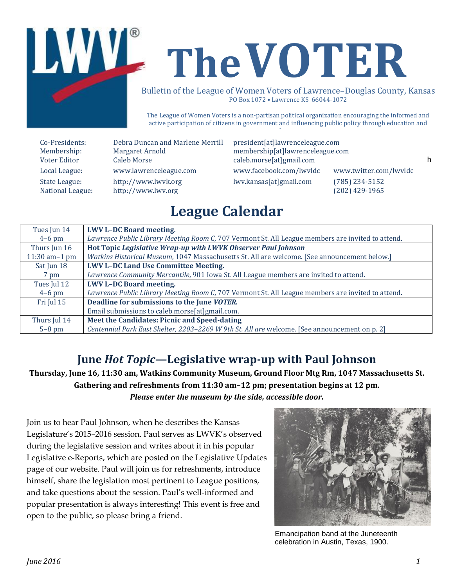

# LWVL The VOTER

Bulletin of the League of Women Voters of Lawrence-Douglas County, Kansas PO Box 1072 • Lawrence KS 66044-1072

The League of Women Voters is a non-partisan political organization encouraging the informed and active participation of citizens in government and influencing public policy through education and advocacy.

National League: [http://www.lwv.org](http://www.lwv.org/) (202) 429-1965

Local League: www.lawrenceleague.com [www.facebook.com/lwvldc](http://www.facebook.com/lwvldc) www.twitter.com/lwvldc State League: http://www.lwyk.org lwv.kansas[at]gmail.com (785) 234-5152

Emancipation celebration band at the Juneteenth Voter Editor Caleb Morse caleb.morse[at]gmail.com Co-Presidents: Debra Duncan and Marlene Merrill president[at]lawrenceleague.com Membership: Margaret Arnold membership[at]lawrenceleague.com

## **League Calendar**

| Tues Jun 14      | <b>LWV L-DC Board meeting.</b>                                                                    |
|------------------|---------------------------------------------------------------------------------------------------|
| $4-6$ pm         | Lawrence Public Library Meeting Room C, 707 Vermont St. All League members are invited to attend. |
| Thurs Jun 16     | Hot Topic Legislative Wrap-up with LWVK Observer Paul Johnson                                     |
| 11:30 am $-1$ pm | Watkins Historical Museum, 1047 Massachusetts St. All are welcome. [See announcement below.]      |
| Sat Jun 18       | <b>LWV L-DC Land Use Committee Meeting.</b>                                                       |
| 7 pm             | Lawrence Community Mercantile, 901 Iowa St. All League members are invited to attend.             |
| Tues Jul 12      | <b>LWV L-DC Board meeting.</b>                                                                    |
| $4-6$ pm         | Lawrence Public Library Meeting Room C, 707 Vermont St. All League members are invited to attend. |
| Fri Jul 15       | Deadline for submissions to the June VOTER.                                                       |
|                  | Email submissions to caleb.morse[at]gmail.com.                                                    |
| Thurs Jul 14     | Meet the Candidates: Picnic and Speed-dating                                                      |
| $5-8$ pm         | Centennial Park East Shelter, 2203-2269 W 9th St. All are welcome. [See announcement on p. 2]     |

### **June** *Hot Topic***—Legislative wrap-up with Paul Johnson**

**Thursday, June 16, 11:30 am, Watkins Community Museum, Ground Floor Mtg Rm, 1047 Massachusetts St. Gathering and refreshments from 11:30 am–12 pm; presentation begins at 12 pm.** *Please enter the museum by the side, accessible door.*

Join us to hear Paul Johnson, when he describes the Kansas Legislature's 2015–2016 session. Paul serves as LWVK's observed during the legislative session and writes about it in his popular Legislative e-Reports, which are posted on the Legislative Updates page of our website. Paul will join us for refreshments, introduce himself, share the legislation most pertinent to League positions, and take questions about the session. Paul's well-informed and popular presentation is always interesting! This event is free and open to the public, so please bring a friend.



Emancipation band at the Juneteenth celebration in Austin, Texas, 1900.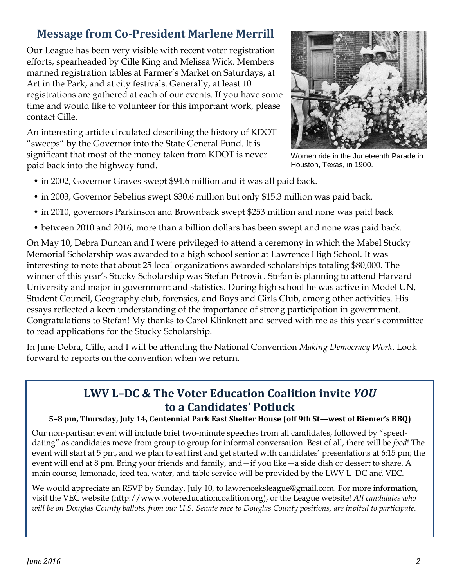## **Message from Co-President Marlene Merrill**

Our League has been very visible with recent voter registration efforts, spearheaded by Cille King and Melissa Wick. Members manned registration tables at Farmer's Market on Saturdays, at Art in the Park, and at city festivals. Generally, at least 10 registrations are gathered at each of our events. If you have some time and would like to volunteer for this important work, please contact Cille.

An interesting article circulated describing the history of KDOT "sweeps" by the Governor into the State General Fund. It is significant that most of the money taken from KDOT is never paid back into the highway fund.



Women ride in the Juneteenth Parade in Houston, Texas, in 1900.

- in 2002, Governor Graves swept \$94.6 million and it was all paid back.
- in 2003, Governor Sebelius swept \$30.6 million but only \$15.3 million was paid back.
- in 2010, governors Parkinson and Brownback swept \$253 million and none was paid back
- between 2010 and 2016, more than a billion dollars has been swept and none was paid back.

On May 10, Debra Duncan and I were privileged to attend a ceremony in which the Mabel Stucky Memorial Scholarship was awarded to a high school senior at Lawrence High School. It was interesting to note that about 25 local organizations awarded scholarships totaling \$80,000. The winner of this year's Stucky Scholarship was Stefan Petrovic. Stefan is planning to attend Harvard University and major in government and statistics. During high school he was active in Model UN, Student Council, Geography club, forensics, and Boys and Girls Club, among other activities. His essays reflected a keen understanding of the importance of strong participation in government. Congratulations to Stefan! My thanks to Carol Klinknett and served with me as this year's committee to read applications for the Stucky Scholarship.

In June Debra, Cille, and I will be attending the National Convention *Making Democracy Work*. Look forward to reports on the convention when we return.

## **LWV L–DC & The Voter Education Coalition invite** *YOU* **to a Candidates' Potluck**

#### **5–8 pm, Thursday, July 14, Centennial Park East Shelter House (off 9th St—west of Biemer's BBQ)**

Our non-partisan event will include brief two-minute speeches from all candidates, followed by "speeddating" as candidates move from group to group for informal conversation. Best of all, there will be *food*! The event will start at 5 pm, and we plan to eat first and get started with candidates' presentations at 6:15 pm; the event will end at 8 pm. Bring your friends and family, and—if you like—a side dish or dessert to share. A main course, lemonade, iced tea, water, and table service will be provided by the LWV L–DC and VEC.

We would appreciate an RSVP by Sunday, July 10, to [lawrenceksleague@gmail.com.](mailto:lawrenceksleague@gmail.com) For more information, visit the VEC website [\(http://www.votereducationcoalition.org\)](http://www.votereducationcoalition.org/), or the League website! *All candidates who will be on Douglas County ballots, from our U.S. Senate race to Douglas County positions, are invited to participate.*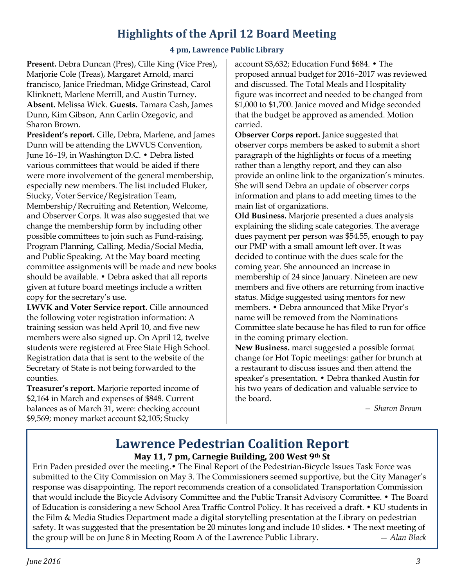## **Highlights of the April 12 Board Meeting**

#### **4 pm, Lawrence Public Library**

**Present.** Debra Duncan (Pres), Cille King (Vice Pres), Marjorie Cole (Treas), Margaret Arnold, marci francisco, Janice Friedman, Midge Grinstead, Carol Klinknett, Marlene Merrill, and Austin Turney. **Absent.** Melissa Wick. **Guests.** Tamara Cash, James Dunn, Kim Gibson, Ann Carlin Ozegovic, and Sharon Brown.

**President's report.** Cille, Debra, Marlene, and James Dunn will be attending the LWVUS Convention, June 16–19, in Washington D.C. • Debra listed various committees that would be aided if there were more involvement of the general membership, especially new members. The list included Fluker, Stucky, Voter Service/Registration Team, Membership/Recruiting and Retention, Welcome, and Observer Corps. It was also suggested that we change the membership form by including other possible committees to join such as Fund-raising, Program Planning, Calling, Media/Social Media, and Public Speaking. At the May board meeting committee assignments will be made and new books should be available. • Debra asked that all reports given at future board meetings include a written copy for the secretary's use.

**LWVK and Voter Service report.** Cille announced the following voter registration information: A training session was held April 10, and five new members were also signed up. On April 12, twelve students were registered at Free State High School. Registration data that is sent to the website of the Secretary of State is not being forwarded to the counties.

**Treasurer's report.** Marjorie reported income of \$2,164 in March and expenses of \$848. Current balances as of March 31, were: checking account \$9,569; money market account \$2,105; Stucky

account \$3,632; Education Fund \$684. • The proposed annual budget for 2016–2017 was reviewed and discussed. The Total Meals and Hospitality figure was incorrect and needed to be changed from \$1,000 to \$1,700. Janice moved and Midge seconded that the budget be approved as amended. Motion carried.

**Observer Corps report.** Janice suggested that observer corps members be asked to submit a short paragraph of the highlights or focus of a meeting rather than a lengthy report, and they can also provide an online link to the organization's minutes. She will send Debra an update of observer corps information and plans to add meeting times to the main list of organizations.

**Old Business.** Marjorie presented a dues analysis explaining the sliding scale categories. The average dues payment per person was \$54.55, enough to pay our PMP with a small amount left over. It was decided to continue with the dues scale for the coming year. She announced an increase in membership of 24 since January. Nineteen are new members and five others are returning from inactive status. Midge suggested using mentors for new members. • Debra announced that Mike Pryor's name will be removed from the Nominations Committee slate because he has filed to run for office in the coming primary election.

**New Business.** marci suggested a possible format change for Hot Topic meetings: gather for brunch at a restaurant to discuss issues and then attend the speaker's presentation. • Debra thanked Austin for his two years of dedication and valuable service to the board.

*— Sharon Brown*

#### **Lawrence Pedestrian Coalition Report May 11, 7 pm, Carnegie Building, 200 West 9th St**

Erin Paden presided over the meeting.• The Final Report of the Pedestrian-Bicycle Issues Task Force was submitted to the City Commission on May 3. The Commissioners seemed supportive, but the City Manager's response was disappointing. The report recommends creation of a consolidated Transportation Commission that would include the Bicycle Advisory Committee and the Public Transit Advisory Committee. • The Board of Education is considering a new School Area Traffic Control Policy. It has received a draft. • KU students in the Film & Media Studies Department made a digital storytelling presentation at the Library on pedestrian safety. It was suggested that the presentation be 20 minutes long and include 10 slides. • The next meeting of the group will be on June 8 in Meeting Room A of the Lawrence Public Library. — *Alan Black*